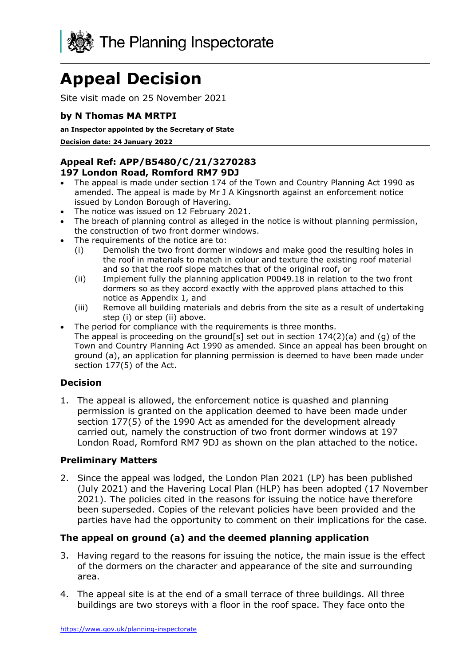

# **Appeal Decision**

Site visit made on 25 November 2021

## **by N Thomas MA MRTPI**

**an Inspector appointed by the Secretary of State** 

**Decision date: 24 January 2022**

#### **Appeal Ref: APP/B5480/C/21/3270283 197 London Road, Romford RM7 9DJ**

- The appeal is made under section 174 of the Town and Country Planning Act 1990 as amended. The appeal is made by Mr J A Kingsnorth against an enforcement notice issued by London Borough of Havering.
- The notice was issued on 12 February 2021.
- The breach of planning control as alleged in the notice is without planning permission, the construction of two front dormer windows.
- The requirements of the notice are to:
	- (i) Demolish the two front dormer windows and make good the resulting holes in the roof in materials to match in colour and texture the existing roof material and so that the roof slope matches that of the original roof, or
	- (ii) Implement fully the planning application P0049.18 in relation to the two front dormers so as they accord exactly with the approved plans attached to this notice as Appendix 1, and
	- (iii) Remove all building materials and debris from the site as a result of undertaking step (i) or step (ii) above.
- The period for compliance with the requirements is three months. The appeal is proceeding on the ground[s] set out in section  $174(2)(a)$  and (g) of the Town and Country Planning Act 1990 as amended. Since an appeal has been brought on ground (a), an application for planning permission is deemed to have been made under section 177(5) of the Act.

## **Decision**

1. The appeal is allowed, the enforcement notice is quashed and planning permission is granted on the application deemed to have been made under section 177(5) of the 1990 Act as amended for the development already carried out, namely the construction of two front dormer windows at 197 London Road, Romford RM7 9DJ as shown on the plan attached to the notice.

#### **Preliminary Matters**

2. Since the appeal was lodged, the London Plan 2021 (LP) has been published (July 2021) and the Havering Local Plan (HLP) has been adopted (17 November 2021). The policies cited in the reasons for issuing the notice have therefore been superseded. Copies of the relevant policies have been provided and the parties have had the opportunity to comment on their implications for the case.

## **The appeal on ground (a) and the deemed planning application**

- 3. Having regard to the reasons for issuing the notice, the main issue is the effect of the dormers on the character and appearance of the site and surrounding area.
- 4. The appeal site is at the end of a small terrace of three buildings. All three buildings are two storeys with a floor in the roof space. They face onto the